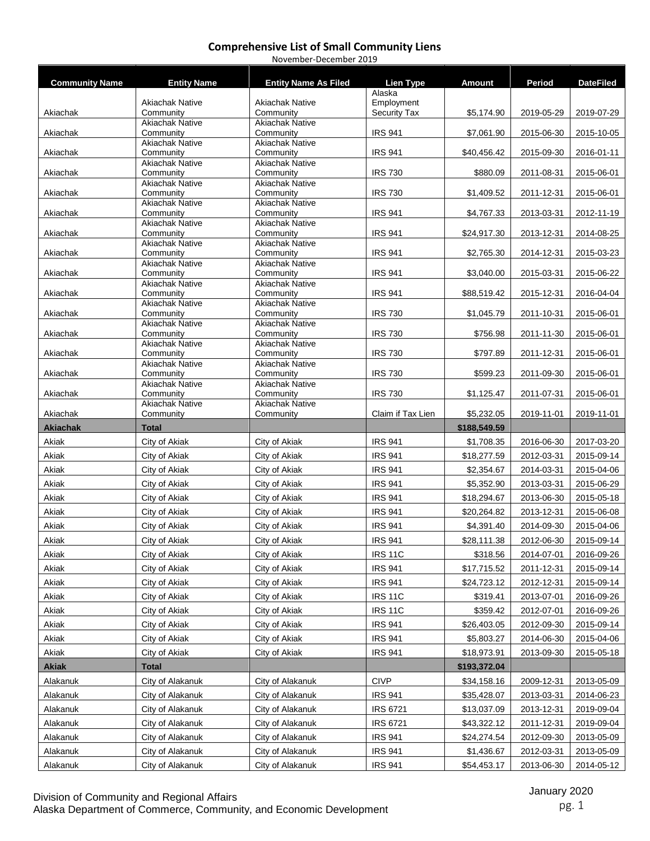| <b>Community Name</b> | <b>Entity Name</b>                   | <b>Entity Name As Filed</b>          | <b>Lien Type</b>                  | <b>Amount</b>               | Period                   | <b>DateFiled</b>         |
|-----------------------|--------------------------------------|--------------------------------------|-----------------------------------|-----------------------------|--------------------------|--------------------------|
|                       |                                      |                                      | Alaska                            |                             |                          |                          |
| Akiachak              | <b>Akiachak Native</b><br>Community  | <b>Akiachak Native</b><br>Community  | Employment<br><b>Security Tax</b> | \$5,174.90                  | 2019-05-29               | 2019-07-29               |
|                       | <b>Akiachak Native</b>               | <b>Akiachak Native</b>               |                                   |                             |                          |                          |
| Akiachak              | Community                            | Community                            | <b>IRS 941</b>                    | \$7,061.90                  | 2015-06-30               | 2015-10-05               |
| Akiachak              | <b>Akiachak Native</b><br>Community  | <b>Akiachak Native</b><br>Community  | <b>IRS 941</b>                    | \$40,456.42                 | 2015-09-30               | 2016-01-11               |
|                       | <b>Akiachak Native</b>               | <b>Akiachak Native</b>               |                                   |                             |                          |                          |
| Akiachak              | Community                            | Community                            | <b>IRS 730</b>                    | \$880.09                    | 2011-08-31               | 2015-06-01               |
| Akiachak              | <b>Akiachak Native</b><br>Community  | <b>Akiachak Native</b><br>Community  | <b>IRS 730</b>                    | \$1,409.52                  | 2011-12-31               | 2015-06-01               |
|                       | <b>Akiachak Native</b>               | <b>Akiachak Native</b>               |                                   |                             |                          |                          |
| Akiachak              | Community                            | Community                            | <b>IRS 941</b>                    | \$4,767.33                  | 2013-03-31               | 2012-11-19               |
| Akiachak              | <b>Akiachak Native</b><br>Community  | <b>Akiachak Native</b><br>Community  | <b>IRS 941</b>                    | \$24,917.30                 | 2013-12-31               | 2014-08-25               |
|                       | <b>Akiachak Native</b>               | <b>Akiachak Native</b>               |                                   |                             |                          |                          |
| Akiachak              | Community                            | Community                            | <b>IRS 941</b>                    | \$2,765.30                  | 2014-12-31               | 2015-03-23               |
| Akiachak              | <b>Akiachak Native</b><br>Community  | <b>Akiachak Native</b><br>Community  | <b>IRS 941</b>                    | \$3,040.00                  | 2015-03-31               | 2015-06-22               |
|                       | <b>Akiachak Native</b>               | <b>Akiachak Native</b>               |                                   |                             |                          |                          |
| Akiachak              | Community                            | Community                            | <b>IRS 941</b>                    | \$88,519.42                 | 2015-12-31               | 2016-04-04               |
| Akiachak              | <b>Akiachak Native</b><br>Community  | <b>Akiachak Native</b><br>Community  | <b>IRS 730</b>                    | \$1,045.79                  | 2011-10-31               | 2015-06-01               |
|                       | <b>Akiachak Native</b>               | <b>Akiachak Native</b>               |                                   |                             |                          |                          |
| Akiachak              | Community                            | Community                            | <b>IRS 730</b>                    | \$756.98                    | 2011-11-30               | 2015-06-01               |
| Akiachak              | <b>Akiachak Native</b><br>Community  | <b>Akiachak Native</b><br>Community  | <b>IRS 730</b>                    | \$797.89                    | 2011-12-31               | 2015-06-01               |
|                       | <b>Akiachak Native</b>               | <b>Akiachak Native</b>               |                                   |                             |                          |                          |
| Akiachak              | Community                            | Community                            | <b>IRS 730</b>                    | \$599.23                    | 2011-09-30               | 2015-06-01               |
| Akiachak              | <b>Akiachak Native</b><br>Community  | <b>Akiachak Native</b><br>Community  | <b>IRS 730</b>                    | \$1,125.47                  | 2011-07-31               | 2015-06-01               |
|                       | <b>Akiachak Native</b>               | <b>Akiachak Native</b>               |                                   |                             |                          |                          |
| Akiachak              | Community                            | Community                            | Claim if Tax Lien                 | \$5,232.05                  | 2019-11-01               | 2019-11-01               |
|                       |                                      |                                      |                                   |                             |                          |                          |
| <b>Akiachak</b>       | <b>Total</b>                         |                                      |                                   | \$188,549.59                |                          |                          |
| Akiak                 | City of Akiak                        | City of Akiak                        | <b>IRS 941</b>                    | \$1,708.35                  | 2016-06-30               | 2017-03-20               |
| Akiak                 | City of Akiak                        | City of Akiak                        | <b>IRS 941</b>                    | \$18,277.59                 | 2012-03-31               | 2015-09-14               |
| Akiak                 | City of Akiak                        | City of Akiak                        | <b>IRS 941</b>                    | \$2,354.67                  | 2014-03-31               | 2015-04-06               |
| Akiak                 | City of Akiak                        | City of Akiak                        | <b>IRS 941</b>                    | \$5,352.90                  | 2013-03-31               | 2015-06-29               |
| Akiak                 | City of Akiak                        | City of Akiak                        | <b>IRS 941</b>                    | \$18,294.67                 | 2013-06-30               | 2015-05-18               |
| Akiak                 | City of Akiak                        | City of Akiak                        | <b>IRS 941</b>                    | \$20,264.82                 | 2013-12-31               | 2015-06-08               |
| Akiak                 | City of Akiak                        | City of Akiak                        | <b>IRS 941</b>                    | \$4,391.40                  | 2014-09-30               | 2015-04-06               |
| Akiak                 | City of Akiak                        | City of Akiak                        | <b>IRS 941</b>                    | \$28,111.38                 | 2012-06-30               | 2015-09-14               |
| Akiak                 | City of Akiak                        | City of Akiak                        | <b>IRS 11C</b>                    | \$318.56                    | 2014-07-01               | 2016-09-26               |
| Akiak                 | City of Akiak                        | City of Akiak                        | <b>IRS 941</b>                    | \$17,715.52                 | 2011-12-31               | 2015-09-14               |
| Akiak                 | City of Akiak                        | City of Akiak                        | <b>IRS 941</b>                    | \$24,723.12                 | 2012-12-31               | 2015-09-14               |
| Akiak                 | City of Akiak                        | City of Akiak                        | <b>IRS 11C</b>                    | \$319.41                    | 2013-07-01               | 2016-09-26               |
| Akiak                 | City of Akiak                        | City of Akiak                        | <b>IRS 11C</b>                    | \$359.42                    | 2012-07-01               | 2016-09-26               |
|                       |                                      |                                      |                                   |                             | 2012-09-30               |                          |
| Akiak                 | City of Akiak                        | City of Akiak                        | <b>IRS 941</b>                    | \$26,403.05                 |                          | 2015-09-14               |
| Akiak<br>Akiak        | City of Akiak<br>City of Akiak       | City of Akiak<br>City of Akiak       | <b>IRS 941</b>                    | \$5,803.27                  | 2014-06-30               | 2015-04-06<br>2015-05-18 |
| <b>Akiak</b>          | <b>Total</b>                         |                                      | <b>IRS 941</b>                    | \$18,973.91                 | 2013-09-30               |                          |
| Alakanuk              | City of Alakanuk                     | City of Alakanuk                     | <b>CIVP</b>                       | \$193,372.04<br>\$34,158.16 | 2009-12-31               | 2013-05-09               |
|                       | City of Alakanuk                     |                                      | <b>IRS 941</b>                    |                             |                          |                          |
| Alakanuk              |                                      | City of Alakanuk                     |                                   | \$35,428.07                 | 2013-03-31               | 2014-06-23               |
| Alakanuk              | City of Alakanuk                     | City of Alakanuk                     | <b>IRS 6721</b>                   | \$13,037.09                 | 2013-12-31               | 2019-09-04               |
| Alakanuk              | City of Alakanuk                     | City of Alakanuk                     | <b>IRS 6721</b>                   | \$43,322.12                 | 2011-12-31               | 2019-09-04               |
| Alakanuk              | City of Alakanuk                     | City of Alakanuk                     | <b>IRS 941</b>                    | \$24,274.54                 | 2012-09-30               | 2013-05-09               |
| Alakanuk<br>Alakanuk  | City of Alakanuk<br>City of Alakanuk | City of Alakanuk<br>City of Alakanuk | <b>IRS 941</b><br><b>IRS 941</b>  | \$1,436.67<br>\$54,453.17   | 2012-03-31<br>2013-06-30 | 2013-05-09<br>2014-05-12 |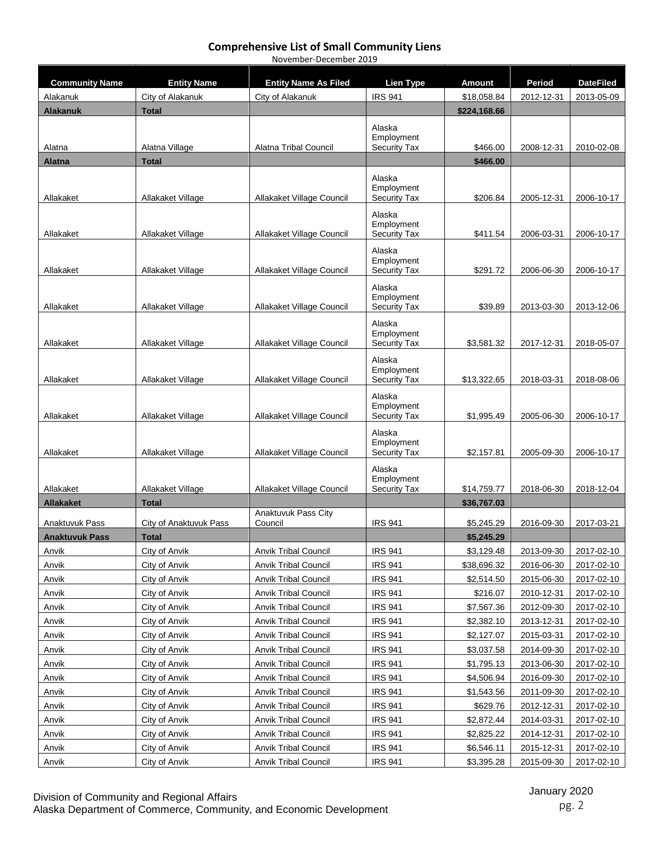| <b>Community Name</b> | <b>Entity Name</b>     | <b>Entity Name As Filed</b>    | <b>Lien Type</b>                            | <b>Amount</b> | Period     | <b>DateFiled</b> |
|-----------------------|------------------------|--------------------------------|---------------------------------------------|---------------|------------|------------------|
| Alakanuk              | City of Alakanuk       | City of Alakanuk               | <b>IRS 941</b>                              | \$18,058.84   | 2012-12-31 | 2013-05-09       |
| <b>Alakanuk</b>       | <b>Total</b>           |                                |                                             | \$224,168.66  |            |                  |
| Alatna                | Alatna Village         | Alatna Tribal Council          | Alaska<br>Employment<br><b>Security Tax</b> | \$466.00      | 2008-12-31 | 2010-02-08       |
| <b>Alatna</b>         | <b>Total</b>           |                                |                                             | \$466.00      |            |                  |
|                       |                        |                                |                                             |               |            |                  |
| Allakaket             | Allakaket Village      | Allakaket Village Council      | Alaska<br>Employment<br><b>Security Tax</b> | \$206.84      | 2005-12-31 | 2006-10-17       |
| Allakaket             | Allakaket Village      | Allakaket Village Council      | Alaska<br>Employment<br><b>Security Tax</b> |               | 2006-03-31 | 2006-10-17       |
|                       |                        |                                |                                             | \$411.54      |            |                  |
| Allakaket             | Allakaket Village      | Allakaket Village Council      | Alaska<br>Employment<br><b>Security Tax</b> | \$291.72      | 2006-06-30 | 2006-10-17       |
| Allakaket             | Allakaket Village      | Allakaket Village Council      | Alaska<br>Employment<br><b>Security Tax</b> | \$39.89       | 2013-03-30 | 2013-12-06       |
|                       |                        |                                |                                             |               |            |                  |
| Allakaket             | Allakaket Village      | Allakaket Village Council      | Alaska<br>Employment<br><b>Security Tax</b> | \$3,581.32    | 2017-12-31 | 2018-05-07       |
| Allakaket             | Allakaket Village      | Allakaket Village Council      | Alaska<br>Employment<br><b>Security Tax</b> | \$13,322.65   | 2018-03-31 | 2018-08-06       |
| Allakaket             | Allakaket Village      | Allakaket Village Council      | Alaska<br>Employment<br><b>Security Tax</b> | \$1,995.49    | 2005-06-30 | 2006-10-17       |
| Allakaket             | Allakaket Village      | Allakaket Village Council      | Alaska<br>Employment<br><b>Security Tax</b> | \$2,157.81    | 2005-09-30 | 2006-10-17       |
| Allakaket             | Allakaket Village      | Allakaket Village Council      | Alaska<br>Employment<br><b>Security Tax</b> | \$14,759.77   | 2018-06-30 | 2018-12-04       |
| <b>Allakaket</b>      | <b>Total</b>           |                                |                                             | \$36,767.03   |            |                  |
| Anaktuvuk Pass        | City of Anaktuvuk Pass | Anaktuvuk Pass City<br>Council | <b>IRS 941</b>                              | \$5,245.29    | 2016-09-30 | 2017-03-21       |
| <b>Anaktuvuk Pass</b> | <b>Total</b>           |                                |                                             | \$5,245.29    |            |                  |
| Anvik                 | City of Anvik          | Anvik Tribal Council           | <b>IRS 941</b>                              | \$3,129.48    | 2013-09-30 | 2017-02-10       |
| Anvik                 | City of Anvik          | <b>Anvik Tribal Council</b>    | <b>IRS 941</b>                              | \$38,696.32   | 2016-06-30 | 2017-02-10       |
| Anvik                 | City of Anvik          | <b>Anvik Tribal Council</b>    | <b>IRS 941</b>                              | \$2,514.50    | 2015-06-30 | 2017-02-10       |
| Anvik                 | City of Anvik          | <b>Anvik Tribal Council</b>    | <b>IRS 941</b>                              | \$216.07      | 2010-12-31 | 2017-02-10       |
| Anvik                 | City of Anvik          | <b>Anvik Tribal Council</b>    | <b>IRS 941</b>                              | \$7,567.36    | 2012-09-30 | 2017-02-10       |
| Anvik                 | City of Anvik          | <b>Anvik Tribal Council</b>    | <b>IRS 941</b>                              | \$2,382.10    | 2013-12-31 | 2017-02-10       |
| Anvik                 | City of Anvik          | <b>Anvik Tribal Council</b>    | <b>IRS 941</b>                              | \$2,127.07    | 2015-03-31 | 2017-02-10       |
| Anvik                 | City of Anvik          | <b>Anvik Tribal Council</b>    | <b>IRS 941</b>                              | \$3,037.58    | 2014-09-30 | 2017-02-10       |
| Anvik                 | City of Anvik          | <b>Anvik Tribal Council</b>    | <b>IRS 941</b>                              | \$1,795.13    | 2013-06-30 | 2017-02-10       |
| Anvik                 | City of Anvik          | <b>Anvik Tribal Council</b>    | <b>IRS 941</b>                              | \$4,506.94    | 2016-09-30 | 2017-02-10       |
| Anvik                 | City of Anvik          | <b>Anvik Tribal Council</b>    | <b>IRS 941</b>                              | \$1,543.56    | 2011-09-30 | 2017-02-10       |
| Anvik                 | City of Anvik          | <b>Anvik Tribal Council</b>    | <b>IRS 941</b>                              | \$629.76      | 2012-12-31 | 2017-02-10       |
| Anvik                 | City of Anvik          | <b>Anvik Tribal Council</b>    | <b>IRS 941</b>                              | \$2,872.44    | 2014-03-31 | 2017-02-10       |
| Anvik                 | City of Anvik          | <b>Anvik Tribal Council</b>    | <b>IRS 941</b>                              | \$2,825.22    | 2014-12-31 | 2017-02-10       |
| Anvik                 | City of Anvik          | Anvik Tribal Council           | <b>IRS 941</b>                              | \$6,546.11    | 2015-12-31 | 2017-02-10       |
| Anvik                 | City of Anvik          | <b>Anvik Tribal Council</b>    | <b>IRS 941</b>                              | \$3,395.28    | 2015-09-30 | 2017-02-10       |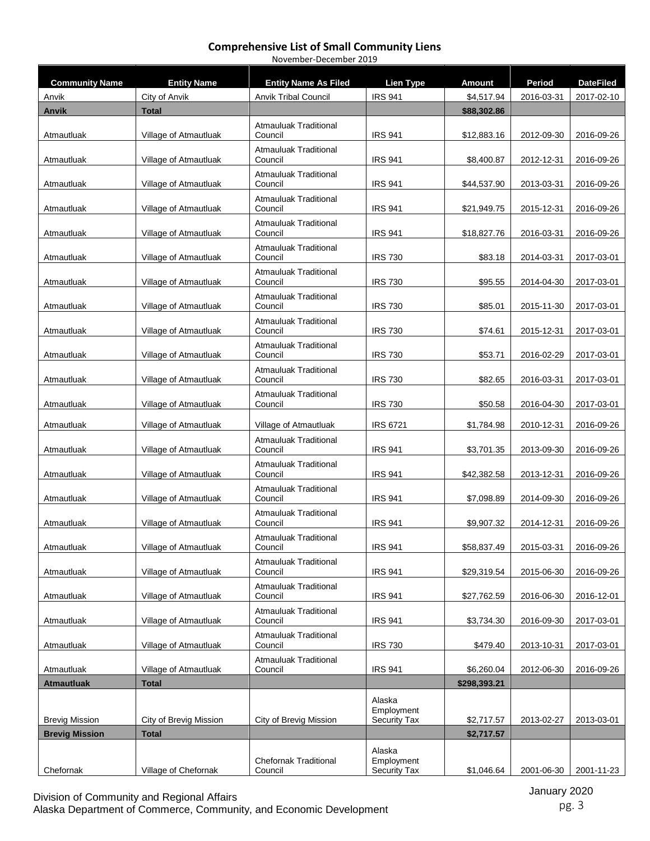#### **Comprehensive List of Small Community Liens** November-December 2019

| <b>Community Name</b> | <b>Entity Name</b>     | <b>Entity Name As Filed</b>             | <b>Lien Type</b>                            | <b>Amount</b> | Period     | <b>DateFiled</b> |
|-----------------------|------------------------|-----------------------------------------|---------------------------------------------|---------------|------------|------------------|
| Anvik                 | City of Anvik          | <b>Anvik Tribal Council</b>             | <b>IRS 941</b>                              | \$4,517.94    | 2016-03-31 | 2017-02-10       |
| <b>Anvik</b>          | <b>Total</b>           |                                         |                                             | \$88,302.86   |            |                  |
|                       |                        | <b>Atmauluak Traditional</b>            |                                             |               |            |                  |
| Atmautluak            | Village of Atmautluak  | Council                                 | <b>IRS 941</b>                              | \$12,883.16   | 2012-09-30 | 2016-09-26       |
| Atmautluak            | Village of Atmautluak  | <b>Atmauluak Traditional</b><br>Council | <b>IRS 941</b>                              | \$8,400.87    | 2012-12-31 | 2016-09-26       |
| Atmautluak            | Village of Atmautluak  | <b>Atmauluak Traditional</b><br>Council | <b>IRS 941</b>                              | \$44,537.90   | 2013-03-31 | 2016-09-26       |
| Atmautluak            | Village of Atmautluak  | <b>Atmauluak Traditional</b><br>Council | <b>IRS 941</b>                              | \$21,949.75   | 2015-12-31 | 2016-09-26       |
| Atmautluak            | Village of Atmautluak  | <b>Atmauluak Traditional</b><br>Council | <b>IRS 941</b>                              | \$18,827.76   | 2016-03-31 | 2016-09-26       |
| Atmautluak            | Village of Atmautluak  | Atmauluak Traditional<br>Council        | <b>IRS 730</b>                              | \$83.18       | 2014-03-31 | 2017-03-01       |
| Atmautluak            | Village of Atmautluak  | <b>Atmauluak Traditional</b><br>Council | <b>IRS 730</b>                              | \$95.55       | 2014-04-30 | 2017-03-01       |
| Atmautluak            | Village of Atmautluak  | <b>Atmauluak Traditional</b><br>Council | <b>IRS 730</b>                              | \$85.01       | 2015-11-30 | 2017-03-01       |
| Atmautluak            | Village of Atmautluak  | <b>Atmauluak Traditional</b><br>Council | <b>IRS 730</b>                              | \$74.61       | 2015-12-31 | 2017-03-01       |
| Atmautluak            | Village of Atmautluak  | <b>Atmauluak Traditional</b><br>Council | <b>IRS 730</b>                              | \$53.71       | 2016-02-29 | 2017-03-01       |
| Atmautluak            | Village of Atmautluak  | <b>Atmauluak Traditional</b><br>Council | <b>IRS 730</b>                              | \$82.65       | 2016-03-31 | 2017-03-01       |
| Atmautluak            | Village of Atmautluak  | Atmauluak Traditional<br>Council        | <b>IRS 730</b>                              | \$50.58       | 2016-04-30 | 2017-03-01       |
| Atmautluak            | Village of Atmautluak  | Village of Atmautluak                   | <b>IRS 6721</b>                             | \$1,784.98    | 2010-12-31 | 2016-09-26       |
| Atmautluak            | Village of Atmautluak  | <b>Atmauluak Traditional</b><br>Council | <b>IRS 941</b>                              | \$3,701.35    | 2013-09-30 | 2016-09-26       |
| Atmautluak            | Village of Atmautluak  | <b>Atmauluak Traditional</b><br>Council | <b>IRS 941</b>                              | \$42,382.58   | 2013-12-31 | 2016-09-26       |
| Atmautluak            | Village of Atmautluak  | <b>Atmauluak Traditional</b><br>Council | <b>IRS 941</b>                              | \$7,098.89    | 2014-09-30 | 2016-09-26       |
| Atmautluak            | Village of Atmautluak  | <b>Atmauluak Traditional</b><br>Council | <b>IRS 941</b>                              | \$9,907.32    | 2014-12-31 | 2016-09-26       |
| Atmautluak            | Village of Atmautluak  | <b>Atmauluak Traditional</b><br>Council | <b>IRS 941</b>                              | \$58,837.49   | 2015-03-31 | 2016-09-26       |
| Atmautluak            | Village of Atmautluak  | <b>Atmauluak Traditional</b><br>Council | <b>IRS 941</b>                              | \$29,319.54   | 2015-06-30 | 2016-09-26       |
| Atmautluak            | Village of Atmautluak  | <b>Atmauluak Traditional</b><br>Council | <b>IRS 941</b>                              | \$27,762.59   | 2016-06-30 | 2016-12-01       |
| Atmautluak            | Village of Atmautluak  | <b>Atmauluak Traditional</b><br>Council | <b>IRS 941</b>                              | \$3,734.30    | 2016-09-30 | 2017-03-01       |
| Atmautluak            | Village of Atmautluak  | Atmauluak Traditional<br>Council        | <b>IRS 730</b>                              | \$479.40      | 2013-10-31 | 2017-03-01       |
| Atmautluak            | Village of Atmautluak  | <b>Atmauluak Traditional</b><br>Council | <b>IRS 941</b>                              | \$6,260.04    | 2012-06-30 | 2016-09-26       |
| <b>Atmautluak</b>     | <b>Total</b>           |                                         |                                             | \$298,393.21  |            |                  |
| <b>Brevig Mission</b> | City of Brevig Mission | City of Brevig Mission                  | Alaska<br>Employment<br><b>Security Tax</b> | \$2,717.57    | 2013-02-27 | 2013-03-01       |
| <b>Brevig Mission</b> | <b>Total</b>           |                                         |                                             | \$2,717.57    |            |                  |
| Chefornak             | Village of Chefornak   | <b>Chefornak Traditional</b><br>Council | Alaska<br>Employment<br>Security Tax        | \$1,046.64    | 2001-06-30 | 2001-11-23       |

Division of Community and Regional Affairs Alaska Department of Commerce, Community, and Economic Development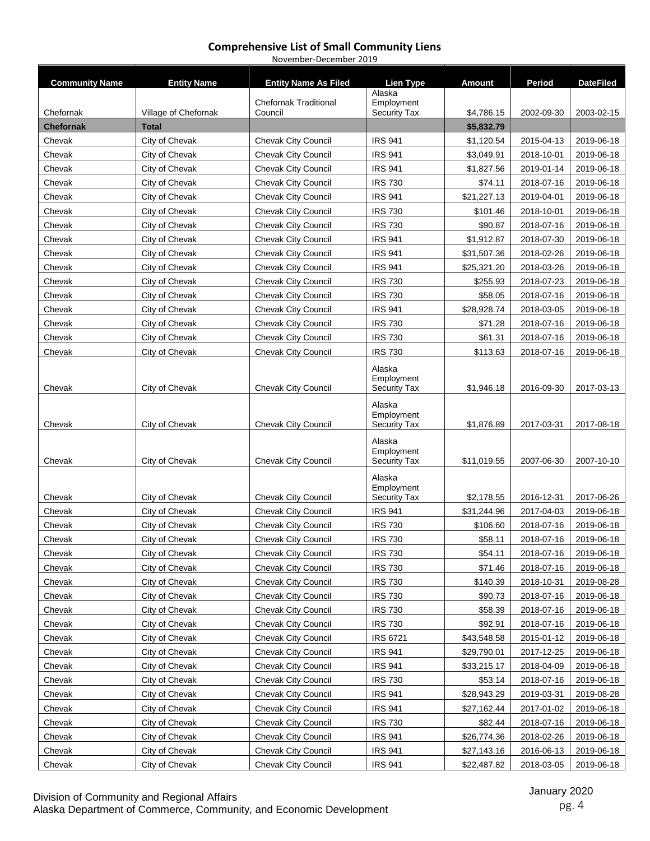| <b>Community Name</b> | <b>Entity Name</b>   | <b>Entity Name As Filed</b>             | <b>Lien Type</b>                  | Amount      | Period     | <b>DateFiled</b> |
|-----------------------|----------------------|-----------------------------------------|-----------------------------------|-------------|------------|------------------|
|                       |                      |                                         | Alaska                            |             |            |                  |
| Chefornak             | Village of Chefornak | <b>Chefornak Traditional</b><br>Council | Employment<br><b>Security Tax</b> | \$4,786.15  | 2002-09-30 | 2003-02-15       |
| <b>Chefornak</b>      | <b>Total</b>         |                                         |                                   | \$5,832.79  |            |                  |
| Chevak                | City of Chevak       | Chevak City Council                     | <b>IRS 941</b>                    | \$1,120.54  | 2015-04-13 | 2019-06-18       |
| Chevak                | City of Chevak       | <b>Chevak City Council</b>              | <b>IRS 941</b>                    | \$3,049.91  | 2018-10-01 | 2019-06-18       |
| Chevak                | City of Chevak       | Chevak City Council                     | <b>IRS 941</b>                    | \$1,827.56  | 2019-01-14 | 2019-06-18       |
| Chevak                | City of Chevak       | Chevak City Council                     | <b>IRS 730</b>                    | \$74.11     | 2018-07-16 | 2019-06-18       |
| Chevak                | City of Chevak       | <b>Chevak City Council</b>              | <b>IRS 941</b>                    | \$21,227.13 | 2019-04-01 | 2019-06-18       |
| Chevak                | City of Chevak       | Chevak City Council                     | <b>IRS 730</b>                    | \$101.46    | 2018-10-01 | 2019-06-18       |
| Chevak                | City of Chevak       | Chevak City Council                     | <b>IRS 730</b>                    | \$90.87     | 2018-07-16 | 2019-06-18       |
| Chevak                | City of Chevak       | Chevak City Council                     | <b>IRS 941</b>                    | \$1,912.87  | 2018-07-30 | 2019-06-18       |
| Chevak                | City of Chevak       | Chevak City Council                     | <b>IRS 941</b>                    | \$31,507.36 | 2018-02-26 | 2019-06-18       |
| Chevak                | City of Chevak       | Chevak City Council                     | <b>IRS 941</b>                    | \$25,321.20 | 2018-03-26 | 2019-06-18       |
| Chevak                | City of Chevak       | <b>Chevak City Council</b>              | <b>IRS 730</b>                    | \$255.93    | 2018-07-23 | 2019-06-18       |
| Chevak                | City of Chevak       | Chevak City Council                     | <b>IRS 730</b>                    | \$58.05     | 2018-07-16 | 2019-06-18       |
| Chevak                | City of Chevak       | Chevak City Council                     | <b>IRS 941</b>                    | \$28,928.74 | 2018-03-05 | 2019-06-18       |
| Chevak                | City of Chevak       | Chevak City Council                     | <b>IRS 730</b>                    | \$71.28     | 2018-07-16 | 2019-06-18       |
| Chevak                | City of Chevak       | Chevak City Council                     | <b>IRS 730</b>                    | \$61.31     | 2018-07-16 | 2019-06-18       |
| Chevak                | City of Chevak       | <b>Chevak City Council</b>              | <b>IRS 730</b>                    | \$113.63    | 2018-07-16 | 2019-06-18       |
|                       |                      |                                         | Alaska                            |             |            |                  |
|                       |                      |                                         | Employment                        |             |            |                  |
| Chevak                | City of Chevak       | Chevak City Council                     | <b>Security Tax</b>               | \$1,946.18  | 2016-09-30 | 2017-03-13       |
|                       |                      |                                         | Alaska                            |             |            |                  |
| Chevak                | City of Chevak       | Chevak City Council                     | Employment<br><b>Security Tax</b> | \$1,876.89  | 2017-03-31 | 2017-08-18       |
|                       |                      |                                         |                                   |             |            |                  |
|                       |                      |                                         | Alaska<br>Employment              |             |            |                  |
| Chevak                | City of Chevak       | <b>Chevak City Council</b>              | Security Tax                      | \$11,019.55 | 2007-06-30 | 2007-10-10       |
|                       |                      |                                         | Alaska                            |             |            |                  |
|                       |                      |                                         | Employment                        |             |            |                  |
| Chevak                | City of Chevak       | Chevak City Council                     | <b>Security Tax</b>               | \$2,178.55  | 2016-12-31 | 2017-06-26       |
| Chevak                | City of Chevak       | Chevak City Council                     | <b>IRS 941</b>                    | \$31,244.96 | 2017-04-03 | 2019-06-18       |
| Chevak                | City of Chevak       | Chevak City Council                     | <b>IRS 730</b>                    | \$106.60    | 2018-07-16 | 2019-06-18       |
| Chevak                | City of Chevak       | Chevak City Council                     | <b>IRS 730</b>                    | \$58.11     | 2018-07-16 | 2019-06-18       |
| Chevak                | City of Chevak       | Chevak City Council                     | <b>IRS 730</b>                    | \$54.11     | 2018-07-16 | 2019-06-18       |
| Chevak                | City of Chevak       | Chevak City Council                     | <b>IRS 730</b>                    | \$71.46     | 2018-07-16 | 2019-06-18       |
| Chevak                | City of Chevak       | Chevak City Council                     | <b>IRS 730</b>                    | \$140.39    | 2018-10-31 | 2019-08-28       |
| Chevak                | City of Chevak       | Chevak City Council                     | <b>IRS 730</b>                    | \$90.73     | 2018-07-16 | 2019-06-18       |
| Chevak                | City of Chevak       | Chevak City Council                     | <b>IRS 730</b>                    | \$58.39     | 2018-07-16 | 2019-06-18       |
| Chevak                | City of Chevak       | Chevak City Council                     | <b>IRS 730</b>                    | \$92.91     | 2018-07-16 | 2019-06-18       |
| Chevak                | City of Chevak       | Chevak City Council                     | <b>IRS 6721</b>                   | \$43,548.58 | 2015-01-12 | 2019-06-18       |
| Chevak                | City of Chevak       | Chevak City Council                     | <b>IRS 941</b>                    | \$29,790.01 | 2017-12-25 | 2019-06-18       |
| Chevak                | City of Chevak       | <b>Chevak City Council</b>              | <b>IRS 941</b>                    | \$33,215.17 | 2018-04-09 | 2019-06-18       |
| Chevak                | City of Chevak       | Chevak City Council                     | <b>IRS 730</b>                    | \$53.14     | 2018-07-16 | 2019-06-18       |
| Chevak                | City of Chevak       | Chevak City Council                     | <b>IRS 941</b>                    | \$28,943.29 | 2019-03-31 | 2019-08-28       |
| Chevak                | City of Chevak       | Chevak City Council                     | <b>IRS 941</b>                    | \$27,162.44 | 2017-01-02 | 2019-06-18       |
| Chevak                | City of Chevak       | <b>Chevak City Council</b>              | <b>IRS 730</b>                    | \$82.44     | 2018-07-16 | 2019-06-18       |
| Chevak                | City of Chevak       | <b>Chevak City Council</b>              | <b>IRS 941</b>                    | \$26,774.36 | 2018-02-26 | 2019-06-18       |
| Chevak                | City of Chevak       | Chevak City Council                     | <b>IRS 941</b>                    | \$27,143.16 | 2016-06-13 | 2019-06-18       |
| Chevak                | City of Chevak       | Chevak City Council                     | <b>IRS 941</b>                    | \$22,487.82 | 2018-03-05 | 2019-06-18       |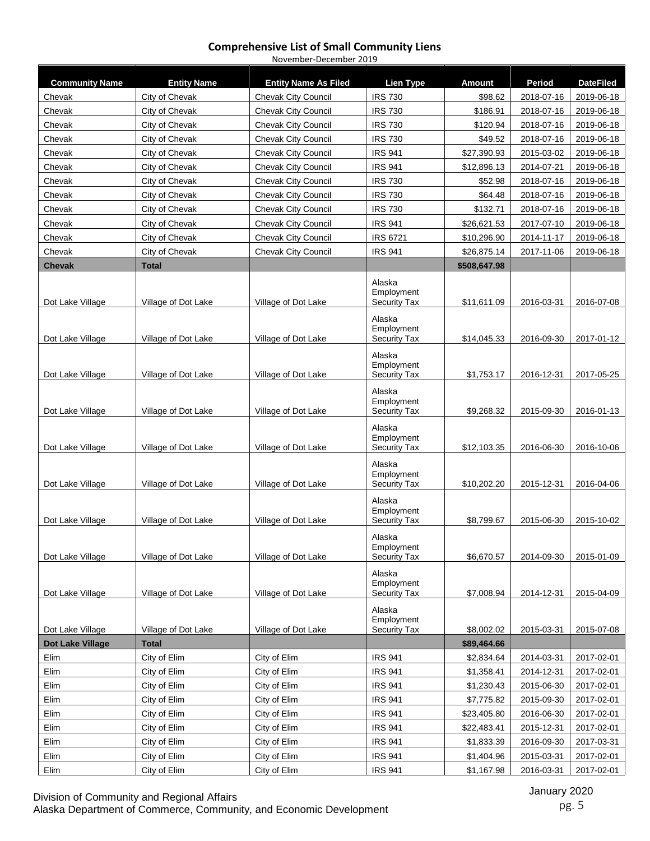#### **Comprehensive List of Small Community Liens** November-December 2019

**Community Name Entity Name Entity Name As Filed Lien Type Amount Period DateFiled** Chevak City of Chevak | Chevak City Council | IRS 730 | \$98.62 | 2018-07-16 | 2019-06-18 Chevak City of Chevak | Chevak City Council | IRS 730 | \$186.91 | 2018-07-16 | 2019-06-18 Chevak | City of Chevak | Chevak City Council | IRS 730 | \$120.94 | 2018-07-16 | 2019-06-18 Chevak City of Chevak | Chevak City Council | IRS 730 | \$49.52 | 2018-07-16 | 2019-06-18 Chevak | City of Chevak | Chevak City Council | IRS 941 | \$27,390.93 | 2015-03-02 | 2019-06-18 Chevak | City of Chevak | Chevak City Council | IRS 941 | \$12,896.13 | 2014-07-21 | 2019-06-18 Chevak City of Chevak | Chevak City Council | IRS 730 | \$52.98 | 2018-07-16 | 2019-06-18 Chevak City of Chevak | Chevak City Council | IRS 730 | \$64.48 | 2018-07-16 | 2019-06-18 Chevak | City of Chevak | Chevak City Council | IRS 730 | \$132.71 | 2018-07-16 | 2019-06-18 Chevak City of Chevak Chevak City Council IRS 941 \$26,621.53 2017-07-10 2019-06-18 Chevak City of Chevak Chevak City Council IRS 6721 \$10,296.90 2014-11-17 2019-06-18 Chevak | City of Chevak | Chevak City Council | IRS 941 | \$26,875.14 | 2017-11-06 | 2019-06-18 **Chevak Total \$508,647.98** Dot Lake Village Village of Dot Lake Village of Dot Lake Alaska Employment Security Tax \$11,611.09 2016-03-31 2016-07-08 Dot Lake Village Village Village of Dot Lake Village of Dot Lake Alaska Employment Security Tax \$14,045.33 2016-09-30 2017-01-12 Dot Lake Village Village Village of Dot Lake Village of Dot Lake Alaska Employment Security Tax \$1,753.17 2016-12-31 2017-05-25 Dot Lake Village Village of Dot Lake Village of Dot Lake Alaska Employment Security Tax  $\begin{array}{|c|c|c|c|c|c|c|c|}\n\hline\n\text{Security Tax} & \text{ $>$9,268.32$} & \text{ $2015-09-30$} & \text{ $2016-01-13$} \\
\hline\n\end{array}$ Dot Lake Village Village of Dot Lake Village of Dot Lake Alaska Employment Security Tax | \$12,103.35 | 2016-06-30 | 2016-10-06 Dot Lake Village Village of Dot Lake Village of Dot Lake Alaska Employment Security Tax \$10,202.20 2015-12-31 2016-04-06 Dot Lake Village | Village of Dot Lake | Village of Dot Lake Alaska Employment<br>Security Tax Security Tax \$8,799.67 2015-06-30 2015-10-02 Dot Lake Village Village Village of Dot Lake Village of Dot Lake Alaska Employment Security Tax  $\begin{array}{|c|c|c|c|c|c|c|c|}\n\hline\n\text{Se,}670.57 & 2014-09-30 & 2015-01-09\n\end{array}$ Dot Lake Village Village of Dot Lake Village of Dot Lake Alaska Employment Security Tax | \$7,008.94 | 2014-12-31 | 2015-04-09 Dot Lake Village Village of Dot Lake Village of Dot Lake Alaska Employment Security Tax  $\begin{array}{|c|c|c|c|c|c|c|c|c|} \hline \text{ $8,002.02$} & \text{2015-03-31} & \text{2015-07-08} \hline \end{array}$ **Dot Lake Village Total \$89,464.66** Elim City of Elim City of Elim IRS 941 \$2,834.64 2014-03-31 2017-02-01 Elim City of Elim City of Elim IRS 941 \$1,358.41 2014-12-31 2017-02-01 Elim City of Elim City of Elim IRS 941 \$1,230.43 2015-06-30 2017-02-01 Elim City of Elim City of Elim IRS 941 \$7,775.82 2015-09-30 2017-02-01 Elim City of Elim City of Elim IRS 941 \$23,405.80 2016-06-30 2017-02-01 Elim City of Elim City of Elim IRS 941 \$22,483.41 2015-12-31 2017-02-01 Elim City of Elim City of Elim IRS 941 \$1,833.39 2016-09-30 2017-03-31 Elim City of Elim City of Elim IRS 941 \$1,404.96 2015-03-31 2017-02-01 Elim City of Elim City of Elim IRS 941 \$1,167.98 2016-03-31 2017-02-01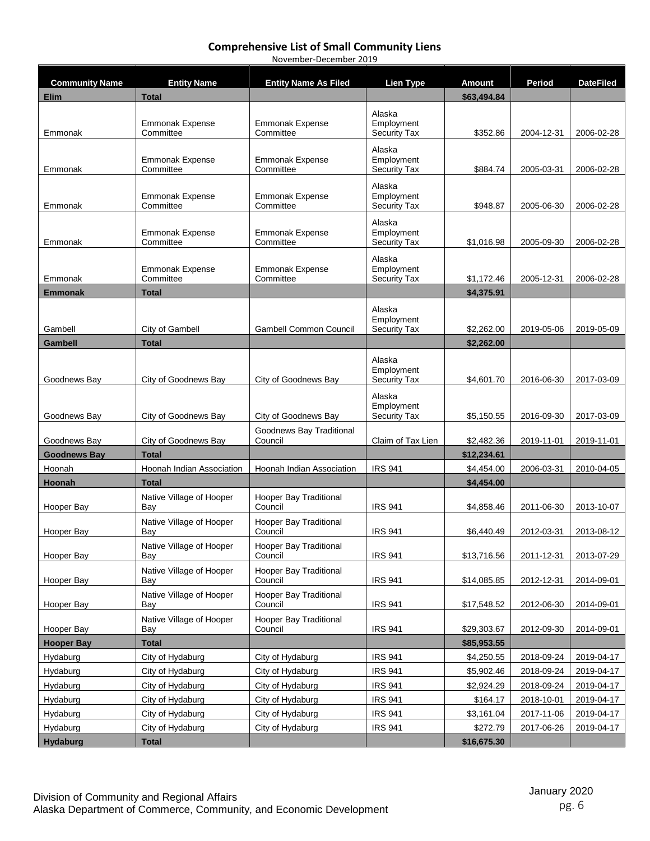| <b>Community Name</b>         | <b>Entity Name</b>                  | <b>Entity Name As Filed</b>              | <b>Lien Type</b>                  | <b>Amount</b>             | <b>Period</b> | <b>DateFiled</b> |
|-------------------------------|-------------------------------------|------------------------------------------|-----------------------------------|---------------------------|---------------|------------------|
| Elim                          | <b>Total</b>                        |                                          |                                   | \$63,494.84               |               |                  |
|                               |                                     |                                          | Alaska                            |                           |               |                  |
|                               | <b>Emmonak Expense</b><br>Committee | <b>Emmonak Expense</b>                   | Employment                        | \$352.86                  |               |                  |
| Emmonak                       |                                     | Committee                                | <b>Security Tax</b>               |                           | 2004-12-31    | 2006-02-28       |
|                               | <b>Emmonak Expense</b>              | <b>Emmonak Expense</b>                   | Alaska<br>Employment              |                           |               |                  |
| Emmonak                       | Committee                           | Committee                                | <b>Security Tax</b>               | \$884.74                  | 2005-03-31    | 2006-02-28       |
|                               |                                     |                                          | Alaska                            |                           |               |                  |
| Emmonak                       | Emmonak Expense<br>Committee        | <b>Emmonak Expense</b><br>Committee      | Employment<br><b>Security Tax</b> | \$948.87                  | 2005-06-30    | 2006-02-28       |
|                               |                                     |                                          | Alaska                            |                           |               |                  |
|                               | Emmonak Expense                     | Emmonak Expense                          | Employment                        |                           |               |                  |
| Emmonak                       | Committee                           | Committee                                | Security Tax                      | \$1,016.98                | 2005-09-30    | 2006-02-28       |
|                               |                                     |                                          | Alaska                            |                           |               |                  |
| Emmonak                       | <b>Emmonak Expense</b><br>Committee | <b>Emmonak Expense</b><br>Committee      | Employment<br><b>Security Tax</b> | \$1,172.46                | 2005-12-31    | 2006-02-28       |
| <b>Emmonak</b>                | <b>Total</b>                        |                                          |                                   | \$4,375.91                |               |                  |
|                               |                                     |                                          | Alaska                            |                           |               |                  |
|                               |                                     |                                          | Employment                        |                           |               |                  |
| Gambell                       | City of Gambell                     | <b>Gambell Common Council</b>            | <b>Security Tax</b>               | \$2,262.00                | 2019-05-06    | 2019-05-09       |
| Gambell                       | <b>Total</b>                        |                                          |                                   | \$2,262.00                |               |                  |
|                               |                                     |                                          | Alaska<br>Employment              |                           |               |                  |
| Goodnews Bay                  | City of Goodnews Bay                | City of Goodnews Bay                     | <b>Security Tax</b>               | \$4,601.70                | 2016-06-30    | 2017-03-09       |
|                               |                                     |                                          | Alaska                            |                           |               |                  |
| Goodnews Bay                  | City of Goodnews Bay                | City of Goodnews Bay                     | Employment<br><b>Security Tax</b> | \$5,150.55                | 2016-09-30    | 2017-03-09       |
|                               |                                     | Goodnews Bay Traditional                 |                                   |                           |               |                  |
| Goodnews Bay                  | City of Goodnews Bay                | Council                                  | Claim of Tax Lien                 | \$2,482.36                | 2019-11-01    | 2019-11-01       |
| <b>Goodnews Bay</b>           | <b>Total</b>                        |                                          |                                   | \$12,234.61               |               |                  |
| Hoonah                        | Hoonah Indian Association           | Hoonah Indian Association                | <b>IRS 941</b>                    | \$4,454.00                | 2006-03-31    | 2010-04-05       |
| Hoonah                        | <b>Total</b>                        |                                          |                                   | \$4,454.00                |               |                  |
|                               | Native Village of Hooper            | <b>Hooper Bay Traditional</b><br>Council |                                   |                           |               |                  |
| Hooper Bay                    | Bay                                 | <b>Hooper Bay Traditional</b>            | <b>IRS 941</b>                    | \$4,858.46                | 2011-06-30    | 2013-10-07       |
| Hooper Bay                    | Native Village of Hooper<br>Bay     | Council                                  | <b>IRS 941</b>                    | \$6,440.49                | 2012-03-31    | 2013-08-12       |
|                               | Native Village of Hooper            | <b>Hooper Bay Traditional</b>            |                                   |                           |               |                  |
| Hooper Bay                    | Bay                                 | Council                                  | <b>IRS 941</b>                    | \$13,716.56               | 2011-12-31    | 2013-07-29       |
| Hooper Bay                    | Native Village of Hooper<br>Bay     | <b>Hooper Bay Traditional</b><br>Council | <b>IRS 941</b>                    | \$14,085.85               | 2012-12-31    | 2014-09-01       |
|                               | Native Village of Hooper            | Hooper Bay Traditional                   |                                   |                           |               |                  |
| Hooper Bay                    | Bay                                 | Council                                  | <b>IRS 941</b>                    | \$17,548.52               | 2012-06-30    | 2014-09-01       |
|                               | Native Village of Hooper            | Hooper Bay Traditional                   |                                   |                           |               |                  |
| Hooper Bay                    | Bay                                 | Council                                  | <b>IRS 941</b>                    | \$29,303.67               | 2012-09-30    | 2014-09-01       |
| <b>Hooper Bay</b><br>Hydaburg | <b>Total</b><br>City of Hydaburg    | City of Hydaburg                         | <b>IRS 941</b>                    | \$85,953.55<br>\$4,250.55 | 2018-09-24    | 2019-04-17       |
| Hydaburg                      | City of Hydaburg                    | City of Hydaburg                         | <b>IRS 941</b>                    | \$5,902.46                | 2018-09-24    | 2019-04-17       |
| Hydaburg                      | City of Hydaburg                    | City of Hydaburg                         | <b>IRS 941</b>                    | \$2,924.29                | 2018-09-24    | 2019-04-17       |
| Hydaburg                      | City of Hydaburg                    | City of Hydaburg                         | <b>IRS 941</b>                    | \$164.17                  | 2018-10-01    | 2019-04-17       |
| Hydaburg                      | City of Hydaburg                    | City of Hydaburg                         | <b>IRS 941</b>                    | \$3,161.04                | 2017-11-06    | 2019-04-17       |
| Hydaburg                      | City of Hydaburg                    | City of Hydaburg                         | <b>IRS 941</b>                    | \$272.79                  | 2017-06-26    | 2019-04-17       |
| Hydaburg                      | <b>Total</b>                        |                                          |                                   | \$16,675.30               |               |                  |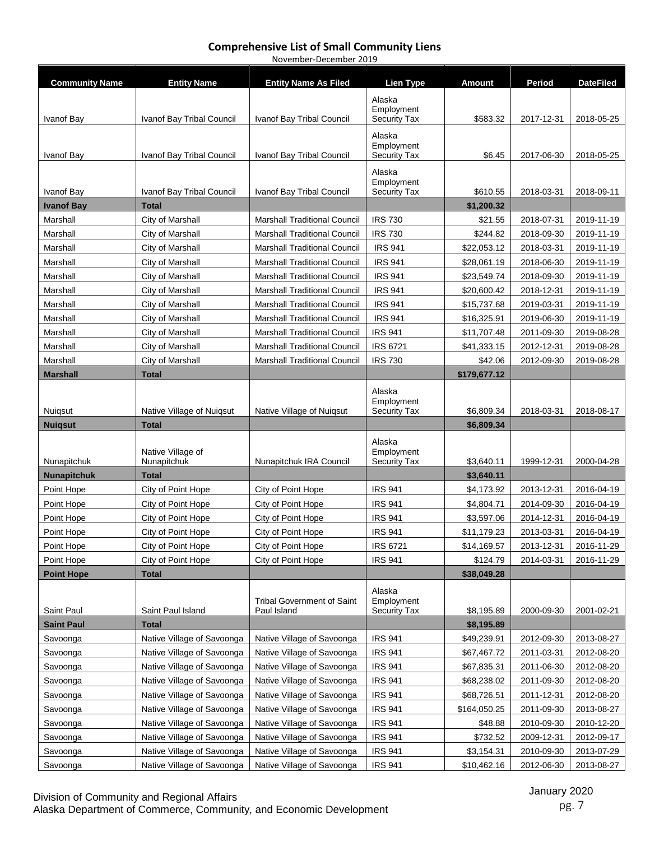| <b>Community Name</b> | <b>Entity Name</b>                                       | <b>Entity Name As Filed</b>                              | <b>Lien Type</b>                  | <b>Amount</b>               | Period                   | <b>DateFiled</b>         |
|-----------------------|----------------------------------------------------------|----------------------------------------------------------|-----------------------------------|-----------------------------|--------------------------|--------------------------|
|                       |                                                          |                                                          | Alaska                            |                             |                          |                          |
|                       |                                                          |                                                          | Employment                        |                             |                          |                          |
| Ivanof Bay            | Ivanof Bay Tribal Council                                | Ivanof Bay Tribal Council                                | <b>Security Tax</b>               | \$583.32                    | 2017-12-31               | 2018-05-25               |
|                       |                                                          |                                                          | Alaska                            |                             |                          |                          |
| Ivanof Bay            | Ivanof Bay Tribal Council                                | Ivanof Bay Tribal Council                                | Employment<br><b>Security Tax</b> | \$6.45                      | 2017-06-30               | 2018-05-25               |
|                       |                                                          |                                                          | Alaska                            |                             |                          |                          |
|                       |                                                          |                                                          | Employment                        |                             |                          |                          |
| Ivanof Bay            | Ivanof Bay Tribal Council                                | Ivanof Bay Tribal Council                                | <b>Security Tax</b>               | \$610.55                    | 2018-03-31               | 2018-09-11               |
| <b>Ivanof Bay</b>     | <b>Total</b>                                             |                                                          |                                   | \$1,200.32                  |                          |                          |
| Marshall              | City of Marshall                                         | <b>Marshall Traditional Council</b>                      | <b>IRS 730</b>                    | \$21.55                     | 2018-07-31               | 2019-11-19               |
| Marshall              | City of Marshall                                         | Marshall Traditional Council                             | <b>IRS 730</b>                    | \$244.82                    | 2018-09-30               | 2019-11-19               |
| Marshall              | City of Marshall                                         | <b>Marshall Traditional Council</b>                      | <b>IRS 941</b>                    | \$22,053.12                 | 2018-03-31               | 2019-11-19               |
| Marshall              | City of Marshall                                         | <b>Marshall Traditional Council</b>                      | <b>IRS 941</b>                    | \$28,061.19                 | 2018-06-30               | 2019-11-19               |
| Marshall              | City of Marshall                                         | <b>Marshall Traditional Council</b>                      | <b>IRS 941</b>                    | \$23,549.74                 | 2018-09-30               | 2019-11-19               |
| Marshall              | City of Marshall                                         | <b>Marshall Traditional Council</b>                      | <b>IRS 941</b>                    | \$20,600.42                 | 2018-12-31               | 2019-11-19               |
| Marshall              | City of Marshall                                         | <b>Marshall Traditional Council</b>                      | <b>IRS 941</b>                    | \$15,737.68                 | 2019-03-31               | 2019-11-19               |
| Marshall              | City of Marshall                                         | <b>Marshall Traditional Council</b>                      | <b>IRS 941</b>                    | \$16,325.91                 | 2019-06-30               | 2019-11-19               |
| Marshall              | City of Marshall                                         | <b>Marshall Traditional Council</b>                      | <b>IRS 941</b>                    | \$11,707.48                 | 2011-09-30               | 2019-08-28               |
| Marshall              | City of Marshall                                         | <b>Marshall Traditional Council</b>                      | <b>IRS 6721</b>                   | \$41,333.15                 | 2012-12-31               | 2019-08-28               |
| Marshall              | City of Marshall                                         | <b>Marshall Traditional Council</b>                      | <b>IRS 730</b>                    | \$42.06                     | 2012-09-30               | 2019-08-28               |
| <b>Marshall</b>       | <b>Total</b>                                             |                                                          |                                   | \$179,677.12                |                          |                          |
|                       |                                                          |                                                          | Alaska                            |                             |                          |                          |
| Nuigsut               | Native Village of Nuigsut                                | Native Village of Nuigsut                                | Employment<br><b>Security Tax</b> | \$6,809.34                  | 2018-03-31               | 2018-08-17               |
| <b>Nuigsut</b>        | Total                                                    |                                                          |                                   | \$6,809.34                  |                          |                          |
|                       |                                                          |                                                          | Alaska                            |                             |                          |                          |
|                       |                                                          |                                                          |                                   |                             |                          |                          |
|                       | Native Village of                                        |                                                          | Employment                        |                             |                          |                          |
| Nunapitchuk           | Nunapitchuk                                              | Nunapitchuk IRA Council                                  | Security Tax                      | \$3,640.11                  | 1999-12-31               | 2000-04-28               |
| <b>Nunapitchuk</b>    | Total                                                    |                                                          |                                   | \$3,640.11                  |                          |                          |
| Point Hope            | City of Point Hope                                       | City of Point Hope                                       | <b>IRS 941</b>                    | \$4,173.92                  | 2013-12-31               | 2016-04-19               |
| Point Hope            | City of Point Hope                                       | City of Point Hope                                       | <b>IRS 941</b>                    | \$4,804.71                  | 2014-09-30               | 2016-04-19               |
| Point Hope            | City of Point Hope                                       | City of Point Hope                                       | <b>IRS 941</b>                    | \$3,597.06                  | 2014-12-31               | 2016-04-19               |
| Point Hope            | City of Point Hope                                       | City of Point Hope                                       | <b>IRS 941</b>                    | \$11,179.23                 | 2013-03-31               | 2016-04-19               |
| Point Hope            | City of Point Hope                                       | City of Point Hope                                       | <b>IRS 6721</b>                   | \$14,169.57                 | 2013-12-31               | 2016-11-29               |
| Point Hope            | City of Point Hope                                       | City of Point Hope                                       | <b>IRS 941</b>                    | \$124.79                    | 2014-03-31               | 2016-11-29               |
| <b>Point Hope</b>     | Total                                                    |                                                          |                                   | \$38,049.28                 |                          |                          |
|                       |                                                          |                                                          | Alaska                            |                             |                          |                          |
|                       |                                                          | <b>Tribal Government of Saint</b>                        | Employment                        |                             |                          |                          |
| Saint Paul            | Saint Paul Island<br><b>Total</b>                        | Paul Island                                              | Security Tax                      | \$8,195.89                  | 2000-09-30               | 2001-02-21               |
| <b>Saint Paul</b>     |                                                          |                                                          |                                   | \$8,195.89                  |                          |                          |
| Savoonga              | Native Village of Savoonga                               | Native Village of Savoonga                               | <b>IRS 941</b>                    | \$49,239.91                 | 2012-09-30               | 2013-08-27               |
| Savoonga              | Native Village of Savoonga                               | Native Village of Savoonga                               | <b>IRS 941</b>                    | \$67,467.72                 | 2011-03-31               | 2012-08-20               |
| Savoonga              | Native Village of Savoonga                               | Native Village of Savoonga                               | <b>IRS 941</b>                    | \$67,835.31                 | 2011-06-30               | 2012-08-20               |
| Savoonga<br>Savoonga  | Native Village of Savoonga                               | Native Village of Savoonga<br>Native Village of Savoonga | <b>IRS 941</b>                    | \$68,238.02                 | 2011-09-30               | 2012-08-20               |
| Savoonga              | Native Village of Savoonga<br>Native Village of Savoonga | Native Village of Savoonga                               | <b>IRS 941</b><br><b>IRS 941</b>  | \$68,726.51<br>\$164,050.25 | 2011-12-31<br>2011-09-30 | 2012-08-20               |
| Savoonga              |                                                          |                                                          |                                   |                             |                          | 2013-08-27               |
| Savoonga              | Native Village of Savoonga                               | Native Village of Savoonga                               | <b>IRS 941</b>                    | \$48.88                     | 2010-09-30               | 2010-12-20               |
| Savoonga              | Native Village of Savoonga<br>Native Village of Savoonga | Native Village of Savoonga<br>Native Village of Savoonga | <b>IRS 941</b><br><b>IRS 941</b>  | \$732.52<br>\$3,154.31      | 2009-12-31<br>2010-09-30 | 2012-09-17<br>2013-07-29 |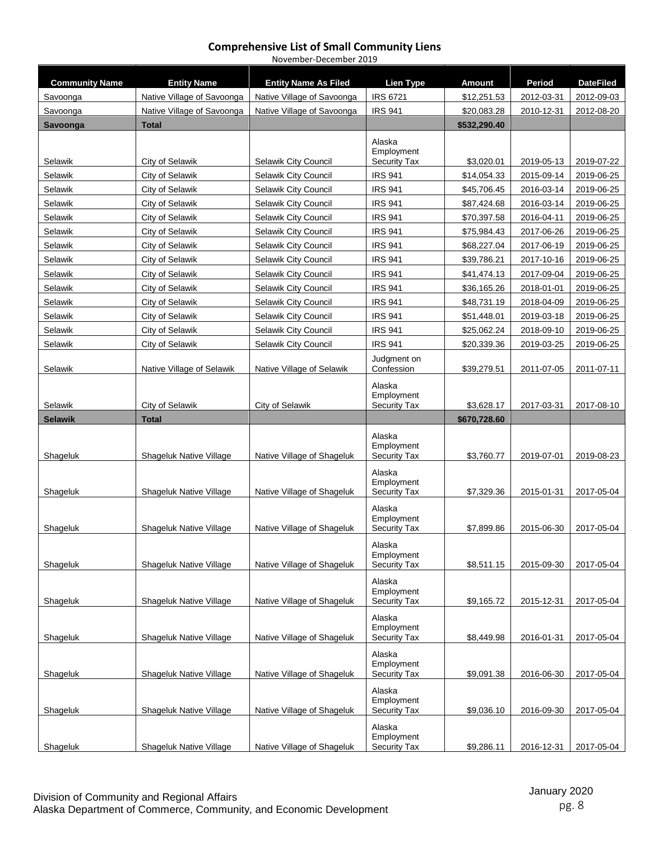| November-December 2019 |
|------------------------|
|------------------------|

| <b>Community Name</b> | <b>Entity Name</b>         | <b>Entity Name As Filed</b> | Lien Type                                   | <b>Amount</b> | Period     | <b>DateFiled</b> |
|-----------------------|----------------------------|-----------------------------|---------------------------------------------|---------------|------------|------------------|
| Savoonga              | Native Village of Savoonga | Native Village of Savoonga  | <b>IRS 6721</b>                             | \$12,251.53   | 2012-03-31 | 2012-09-03       |
| Savoonga              | Native Village of Savoonga | Native Village of Savoonga  | <b>IRS 941</b>                              | \$20,083.28   | 2010-12-31 | 2012-08-20       |
| Savoonga              | <b>Total</b>               |                             |                                             | \$532,290.40  |            |                  |
| Selawik               | City of Selawik            | Selawik City Council        | Alaska<br>Employment<br><b>Security Tax</b> | \$3,020.01    | 2019-05-13 | 2019-07-22       |
| Selawik               | City of Selawik            | Selawik City Council        | <b>IRS 941</b>                              | \$14,054.33   | 2015-09-14 | 2019-06-25       |
| Selawik               | City of Selawik            | Selawik City Council        | <b>IRS 941</b>                              | \$45,706.45   | 2016-03-14 | 2019-06-25       |
| Selawik               | City of Selawik            | Selawik City Council        | <b>IRS 941</b>                              | \$87,424.68   | 2016-03-14 | 2019-06-25       |
| Selawik               | City of Selawik            | Selawik City Council        | <b>IRS 941</b>                              | \$70,397.58   | 2016-04-11 | 2019-06-25       |
| Selawik               | City of Selawik            | Selawik City Council        | <b>IRS 941</b>                              | \$75,984.43   | 2017-06-26 | 2019-06-25       |
| Selawik               | City of Selawik            | Selawik City Council        | <b>IRS 941</b>                              | \$68,227.04   | 2017-06-19 | 2019-06-25       |
| Selawik               | City of Selawik            | Selawik City Council        | <b>IRS 941</b>                              | \$39,786.21   | 2017-10-16 | 2019-06-25       |
| Selawik               | City of Selawik            | Selawik City Council        | <b>IRS 941</b>                              | \$41,474.13   | 2017-09-04 | 2019-06-25       |
| Selawik               | City of Selawik            | Selawik City Council        | <b>IRS 941</b>                              | \$36,165.26   | 2018-01-01 | 2019-06-25       |
| Selawik               | City of Selawik            | Selawik City Council        | <b>IRS 941</b>                              | \$48,731.19   | 2018-04-09 | 2019-06-25       |
| Selawik               | City of Selawik            | Selawik City Council        | <b>IRS 941</b>                              | \$51,448.01   | 2019-03-18 | 2019-06-25       |
| Selawik               | City of Selawik            | Selawik City Council        | <b>IRS 941</b>                              | \$25,062.24   | 2018-09-10 | 2019-06-25       |
| Selawik               | City of Selawik            | Selawik City Council        | <b>IRS 941</b>                              | \$20,339.36   | 2019-03-25 | 2019-06-25       |
| Selawik               | Native Village of Selawik  | Native Village of Selawik   | Judgment on<br>Confession                   | \$39,279.51   | 2011-07-05 | 2011-07-11       |
| Selawik               | City of Selawik            | City of Selawik             | Alaska<br>Employment<br><b>Security Tax</b> | \$3,628.17    | 2017-03-31 | 2017-08-10       |
| <b>Selawik</b>        | <b>Total</b>               |                             |                                             | \$670,728.60  |            |                  |
| Shageluk              | Shageluk Native Village    | Native Village of Shageluk  | Alaska<br>Employment<br><b>Security Tax</b> | \$3,760.77    | 2019-07-01 | 2019-08-23       |
| Shageluk              | Shageluk Native Village    | Native Village of Shageluk  | Alaska<br>Employment<br><b>Security Tax</b> | \$7,329.36    | 2015-01-31 | 2017-05-04       |
| Shageluk              | Shageluk Native Village    | Native Village of Shageluk  | Alaska<br>Employment<br>Security Tax        | \$7,899.86    | 2015-06-30 | 2017-05-04       |
| Shageluk              | Shageluk Native Village    | Native Village of Shageluk  | Alaska<br>Employment<br><b>Security Tax</b> | \$8,511.15    | 2015-09-30 | 2017-05-04       |
| Shageluk              |                            |                             | Alaska                                      |               |            |                  |
|                       | Shageluk Native Village    | Native Village of Shageluk  | Employment<br><b>Security Tax</b>           | \$9,165.72    | 2015-12-31 | 2017-05-04       |
| Shageluk              | Shageluk Native Village    | Native Village of Shageluk  | Alaska<br>Employment<br><b>Security Tax</b> | \$8,449.98    | 2016-01-31 | 2017-05-04       |
| Shageluk              | Shageluk Native Village    | Native Village of Shageluk  | Alaska<br>Employment<br>Security Tax        | \$9,091.38    | 2016-06-30 | 2017-05-04       |
| Shageluk              | Shageluk Native Village    | Native Village of Shageluk  | Alaska<br>Employment<br><b>Security Tax</b> | \$9,036.10    | 2016-09-30 | 2017-05-04       |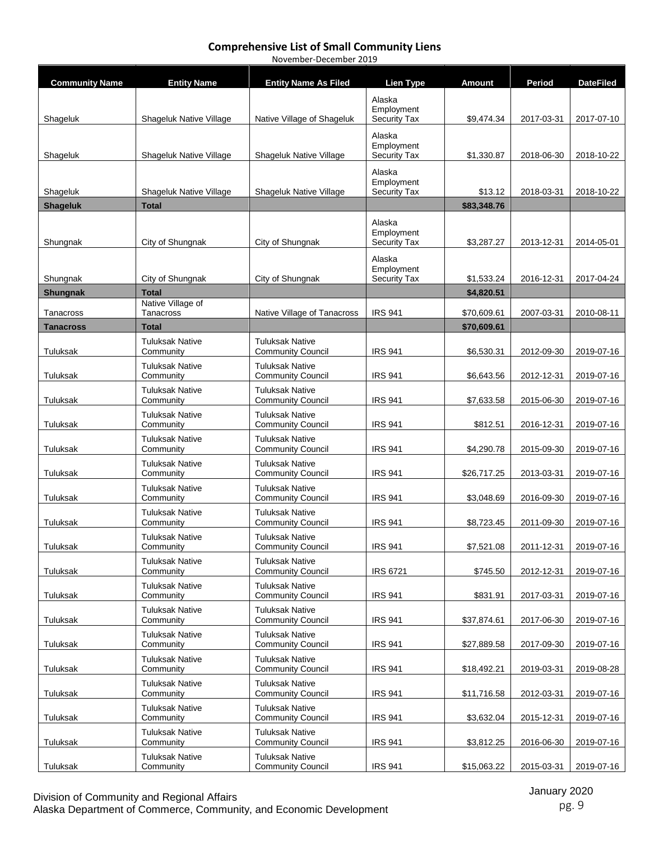| <b>Community Name</b> | <b>Entity Name</b>                  | <b>Entity Name As Filed</b>                        | <b>Lien Type</b>                  | <b>Amount</b> | Period     | <b>DateFiled</b> |
|-----------------------|-------------------------------------|----------------------------------------------------|-----------------------------------|---------------|------------|------------------|
|                       |                                     |                                                    | Alaska                            |               |            |                  |
| Shageluk              | Shageluk Native Village             | Native Village of Shageluk                         | Employment<br><b>Security Tax</b> | \$9,474.34    | 2017-03-31 | 2017-07-10       |
|                       |                                     |                                                    | Alaska                            |               |            |                  |
|                       |                                     |                                                    | Employment                        |               |            |                  |
| Shageluk              | Shageluk Native Village             | Shageluk Native Village                            | <b>Security Tax</b>               | \$1,330.87    | 2018-06-30 | 2018-10-22       |
|                       |                                     |                                                    | Alaska<br>Employment              |               |            |                  |
| Shageluk              | Shageluk Native Village             | Shageluk Native Village                            | Security Tax                      | \$13.12       | 2018-03-31 | 2018-10-22       |
| <b>Shageluk</b>       | <b>Total</b>                        |                                                    |                                   | \$83,348.76   |            |                  |
|                       |                                     |                                                    | Alaska<br>Employment              |               |            |                  |
| Shungnak              | City of Shungnak                    | City of Shungnak                                   | <b>Security Tax</b>               | \$3,287.27    | 2013-12-31 | 2014-05-01       |
|                       |                                     |                                                    | Alaska                            |               |            |                  |
| Shungnak              | City of Shungnak                    | City of Shungnak                                   | Employment<br><b>Security Tax</b> | \$1,533.24    | 2016-12-31 | 2017-04-24       |
| <b>Shungnak</b>       | <b>Total</b>                        |                                                    |                                   | \$4,820.51    |            |                  |
|                       | Native Village of                   |                                                    |                                   |               |            |                  |
| Tanacross             | Tanacross                           | Native Village of Tanacross                        | <b>IRS 941</b>                    | \$70,609.61   | 2007-03-31 | 2010-08-11       |
| <b>Tanacross</b>      | <b>Total</b>                        |                                                    |                                   | \$70,609.61   |            |                  |
| Tuluksak              | <b>Tuluksak Native</b><br>Community | <b>Tuluksak Native</b><br><b>Community Council</b> | <b>IRS 941</b>                    | \$6,530.31    | 2012-09-30 | 2019-07-16       |
|                       | <b>Tuluksak Native</b>              | <b>Tuluksak Native</b>                             |                                   |               |            |                  |
| Tuluksak              | Community                           | <b>Community Council</b>                           | <b>IRS 941</b>                    | \$6,643.56    | 2012-12-31 | 2019-07-16       |
| Tuluksak              | <b>Tuluksak Native</b><br>Community | <b>Tuluksak Native</b><br><b>Community Council</b> | <b>IRS 941</b>                    | \$7,633.58    | 2015-06-30 | 2019-07-16       |
|                       | <b>Tuluksak Native</b>              | <b>Tuluksak Native</b>                             |                                   |               |            |                  |
| Tuluksak              | Community                           | <b>Community Council</b>                           | <b>IRS 941</b>                    | \$812.51      | 2016-12-31 | 2019-07-16       |
| Tuluksak              | <b>Tuluksak Native</b><br>Community | <b>Tuluksak Native</b><br><b>Community Council</b> | <b>IRS 941</b>                    | \$4,290.78    | 2015-09-30 | 2019-07-16       |
|                       | <b>Tuluksak Native</b>              | <b>Tuluksak Native</b>                             |                                   |               |            |                  |
| Tuluksak              | Community<br><b>Tuluksak Native</b> | <b>Community Council</b><br><b>Tuluksak Native</b> | <b>IRS 941</b>                    | \$26,717.25   | 2013-03-31 | 2019-07-16       |
| Tuluksak              | Community                           | <b>Community Council</b>                           | <b>IRS 941</b>                    | \$3,048.69    | 2016-09-30 | 2019-07-16       |
| Tuluksak              | <b>Tuluksak Native</b><br>Community | <b>Tuluksak Native</b><br><b>Community Council</b> | <b>IRS 941</b>                    | \$8,723.45    | 2011-09-30 | 2019-07-16       |
|                       | <b>Tuluksak Native</b>              | <b>Tuluksak Native</b>                             |                                   |               |            |                  |
| Tuluksak              | Community                           | <b>Community Council</b>                           | <b>IRS 941</b>                    | \$7,521.08    | 2011-12-31 | 2019-07-16       |
| Tuluksak              | <b>Tuluksak Native</b><br>Community | <b>Tuluksak Native</b><br><b>Community Council</b> | <b>IRS 6721</b>                   | \$745.50      | 2012-12-31 | 2019-07-16       |
|                       | <b>Tuluksak Native</b>              | <b>Tuluksak Native</b>                             |                                   |               |            |                  |
| Tuluksak              | Community                           | <b>Community Council</b>                           | <b>IRS 941</b>                    | \$831.91      | 2017-03-31 | 2019-07-16       |
| Tuluksak              | <b>Tuluksak Native</b><br>Community | <b>Tuluksak Native</b><br><b>Community Council</b> | <b>IRS 941</b>                    | \$37,874.61   | 2017-06-30 | 2019-07-16       |
|                       | <b>Tuluksak Native</b>              | <b>Tuluksak Native</b>                             |                                   |               |            |                  |
| Tuluksak              | Community                           | <b>Community Council</b>                           | <b>IRS 941</b>                    | \$27,889.58   | 2017-09-30 | 2019-07-16       |
| Tuluksak              | <b>Tuluksak Native</b><br>Community | <b>Tuluksak Native</b><br><b>Community Council</b> | <b>IRS 941</b>                    | \$18,492.21   | 2019-03-31 | 2019-08-28       |
|                       | <b>Tuluksak Native</b>              | <b>Tuluksak Native</b>                             |                                   |               |            |                  |
| Tuluksak              | Community                           | <b>Community Council</b>                           | <b>IRS 941</b>                    | \$11,716.58   | 2012-03-31 | 2019-07-16       |
| Tuluksak              | <b>Tuluksak Native</b><br>Community | <b>Tuluksak Native</b><br><b>Community Council</b> | <b>IRS 941</b>                    | \$3,632.04    | 2015-12-31 | 2019-07-16       |
|                       | <b>Tuluksak Native</b>              | <b>Tuluksak Native</b>                             |                                   |               |            |                  |
| Tuluksak              | Community                           | <b>Community Council</b>                           | <b>IRS 941</b>                    | \$3,812.25    | 2016-06-30 | 2019-07-16       |
| Tuluksak              | <b>Tuluksak Native</b><br>Community | <b>Tuluksak Native</b><br><b>Community Council</b> | <b>IRS 941</b>                    | \$15,063.22   | 2015-03-31 | 2019-07-16       |